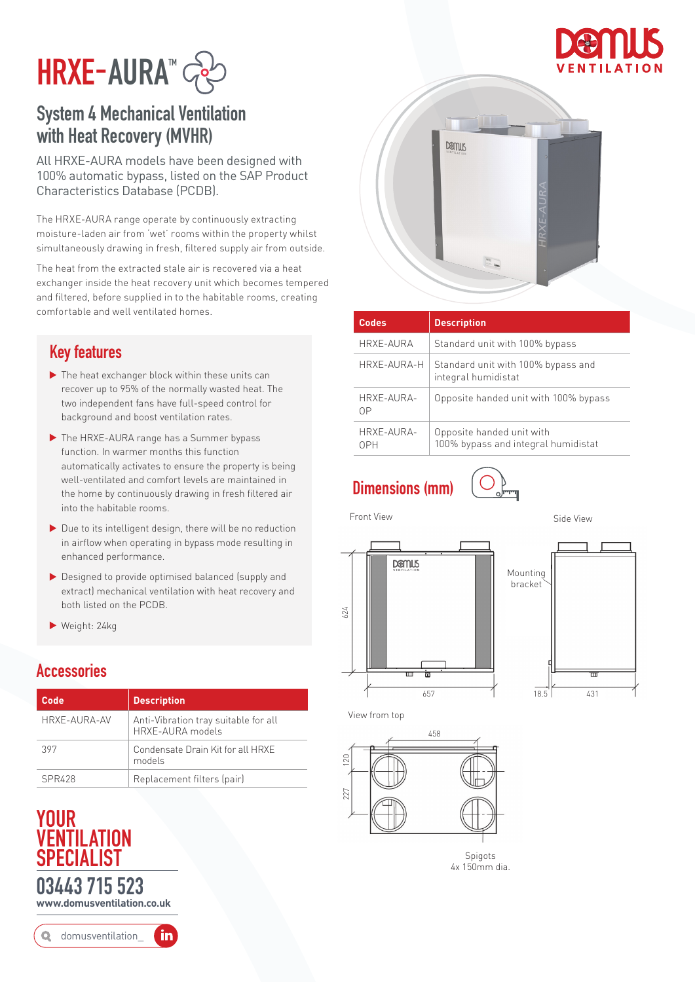



## System 4 Mechanical Ventilation with Heat Recovery (MVHR)

All HRXE-AURA models have been designed with 100% automatic bypass, listed on the SAP Product Characteristics Database (PCDB).

The HRXE-AURA range operate by continuously extracting moisture-laden air from 'wet' rooms within the property whilst simultaneously drawing in fresh, filtered supply air from outside.

The heat from the extracted stale air is recovered via a heat exchanger inside the heat recovery unit which becomes tempered and filtered, before supplied in to the habitable rooms, creating comfortable and well ventilated homes.

### Key features

- ▶ The heat exchanger block within these units can recover up to 95% of the normally wasted heat. The two independent fans have full-speed control for background and boost ventilation rates.
- ▶ The HRXE-AURA range has a Summer bypass function. In warmer months this function automatically activates to ensure the property is being well-ventilated and comfort levels are maintained in the home by continuously drawing in fresh filtered air into the habitable rooms.
- $\blacktriangleright$  Due to its intelligent design, there will be no reduction in airflow when operating in bypass mode resulting in enhanced performance.
- ▶ Designed to provide optimised balanced (supply and extract) mechanical ventilation with heat recovery and both listed on the PCDB.
- Weight: 24kg

#### **Accessories**

| Code         | <b>Description</b>                                       |
|--------------|----------------------------------------------------------|
| HRXE-AURA-AV | Anti-Vibration tray suitable for all<br>HRXE-AURA models |
| 397          | Condensate Drain Kit for all HRXE<br>models              |
| SPR428       | Replacement filters (pair)                               |

## YOUR VENTILATION **SPECIAL IST** 03443 715 523 **www.domusventilation.co.uk**

in domusventilation\_



| <b>Codes</b>             | <b>Description</b>                                               |
|--------------------------|------------------------------------------------------------------|
| HRXE-AURA                | Standard unit with 100% bypass                                   |
| HRXE-AURA-H              | Standard unit with 100% bypass and<br>integral humidistat        |
| HRXE-AURA-<br>ΩP         | Opposite handed unit with 100% bypass                            |
| HRXE-AURA-<br><b>NPH</b> | Opposite handed unit with<br>100% bypass and integral humidistat |

Dimensions (mm)



Front View **Side View** Side View





View from top



**Spigots** 4x 150mm dia.